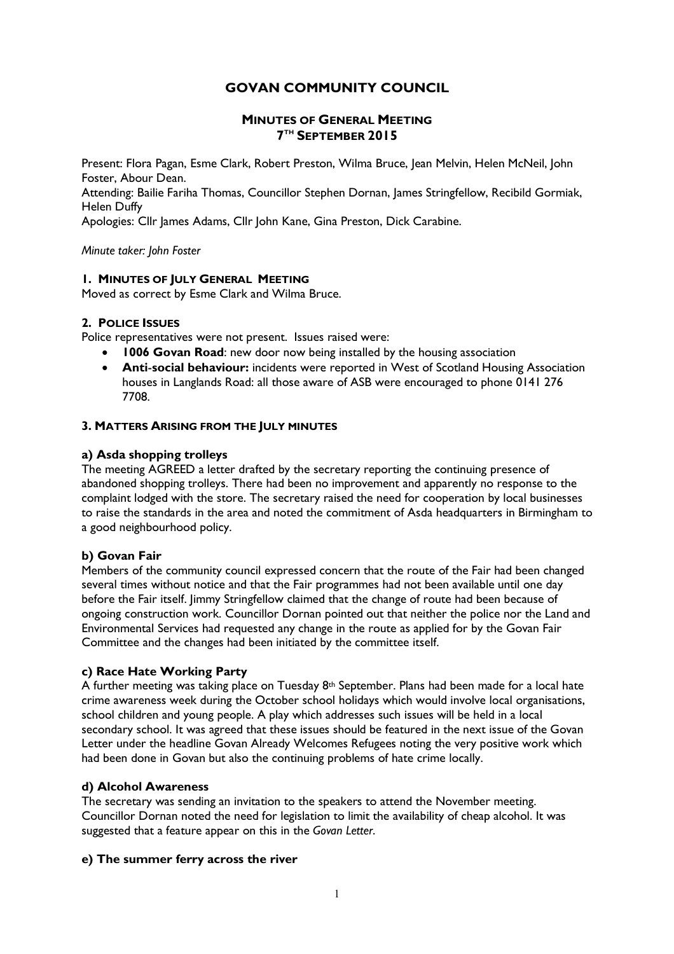# **GOVAN COMMUNITY COUNCIL**

# **MINUTES OF GENERAL MEETING 7 TH SEPTEMBER 2015**

Present: Flora Pagan, Esme Clark, Robert Preston, Wilma Bruce, Jean Melvin, Helen McNeil, John Foster, Abour Dean.

Attending: Bailie Fariha Thomas, Councillor Stephen Dornan, James Stringfellow, Recibild Gormiak, Helen Duffy

Apologies: Cllr James Adams, Cllr John Kane, Gina Preston, Dick Carabine.

*Minute taker: John Foster*

#### **1. MINUTES OF JULY GENERAL MEETING**

Moved as correct by Esme Clark and Wilma Bruce.

## **2. POLICE ISSUES**

Police representatives were not present. Issues raised were:

- **1006 Govan Road:** new door now being installed by the housing association
- **Anti-social behaviour:** incidents were reported in West of Scotland Housing Association houses in Langlands Road: all those aware of ASB were encouraged to phone 0141 276 7708.

## **3. MATTERS ARISING FROM THE JULY MINUTES**

## **a) Asda shopping trolleys**

The meeting AGREED a letter drafted by the secretary reporting the continuing presence of abandoned shopping trolleys. There had been no improvement and apparently no response to the complaint lodged with the store. The secretary raised the need for cooperation by local businesses to raise the standards in the area and noted the commitment of Asda headquarters in Birmingham to a good neighbourhood policy.

# **b) Govan Fair**

Members of the community council expressed concern that the route of the Fair had been changed several times without notice and that the Fair programmes had not been available until one day before the Fair itself. Jimmy Stringfellow claimed that the change of route had been because of ongoing construction work. Councillor Dornan pointed out that neither the police nor the Land and Environmental Services had requested any change in the route as applied for by the Govan Fair Committee and the changes had been initiated by the committee itself.

#### **c) Race Hate Working Party**

A further meeting was taking place on Tuesday 8th September. Plans had been made for a local hate crime awareness week during the October school holidays which would involve local organisations, school children and young people. A play which addresses such issues will be held in a local secondary school. It was agreed that these issues should be featured in the next issue of the Govan Letter under the headline Govan Already Welcomes Refugees noting the very positive work which had been done in Govan but also the continuing problems of hate crime locally.

#### **d) Alcohol Awareness**

The secretary was sending an invitation to the speakers to attend the November meeting. Councillor Dornan noted the need for legislation to limit the availability of cheap alcohol. It was suggested that a feature appear on this in the *Govan Letter*.

# **e) The summer ferry across the river**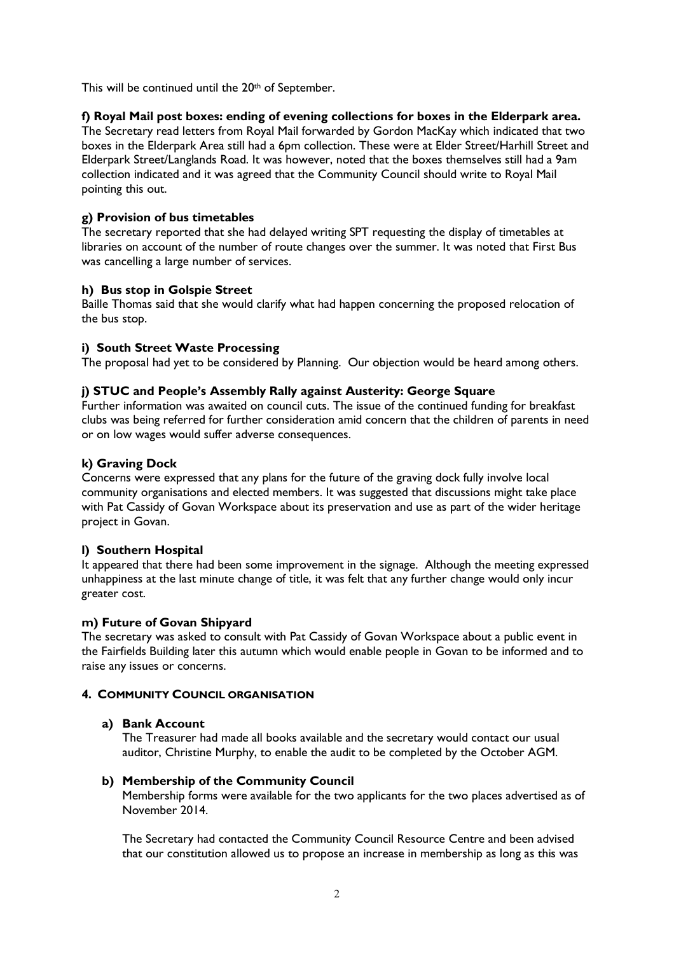This will be continued until the 20th of September.

# **f) Royal Mail post boxes: ending of evening collections for boxes in the Elderpark area.**

The Secretary read letters from Royal Mail forwarded by Gordon MacKay which indicated that two boxes in the Elderpark Area still had a 6pm collection. These were at Elder Street/Harhill Street and Elderpark Street/Langlands Road. It was however, noted that the boxes themselves still had a 9am collection indicated and it was agreed that the Community Council should write to Royal Mail pointing this out.

## **g) Provision of bus timetables**

The secretary reported that she had delayed writing SPT requesting the display of timetables at libraries on account of the number of route changes over the summer. It was noted that First Bus was cancelling a large number of services.

## **h) Bus stop in Golspie Street**

Baille Thomas said that she would clarify what had happen concerning the proposed relocation of the bus stop.

## **i) South Street Waste Processing**

The proposal had yet to be considered by Planning. Our objection would be heard among others.

## **j) STUC and People's Assembly Rally against Austerity: George Square**

Further information was awaited on council cuts. The issue of the continued funding for breakfast clubs was being referred for further consideration amid concern that the children of parents in need or on low wages would suffer adverse consequences.

## **k) Graving Dock**

Concerns were expressed that any plans for the future of the graving dock fully involve local community organisations and elected members. It was suggested that discussions might take place with Pat Cassidy of Govan Workspace about its preservation and use as part of the wider heritage project in Govan.

#### **l) Southern Hospital**

It appeared that there had been some improvement in the signage. Although the meeting expressed unhappiness at the last minute change of title, it was felt that any further change would only incur greater cost.

#### **m) Future of Govan Shipyard**

The secretary was asked to consult with Pat Cassidy of Govan Workspace about a public event in the Fairfields Building later this autumn which would enable people in Govan to be informed and to raise any issues or concerns.

## **4. COMMUNITY COUNCIL ORGANISATION**

#### **a) Bank Account**

The Treasurer had made all books available and the secretary would contact our usual auditor, Christine Murphy, to enable the audit to be completed by the October AGM.

#### **b) Membership of the Community Council**

Membership forms were available for the two applicants for the two places advertised as of November 2014.

The Secretary had contacted the Community Council Resource Centre and been advised that our constitution allowed us to propose an increase in membership as long as this was